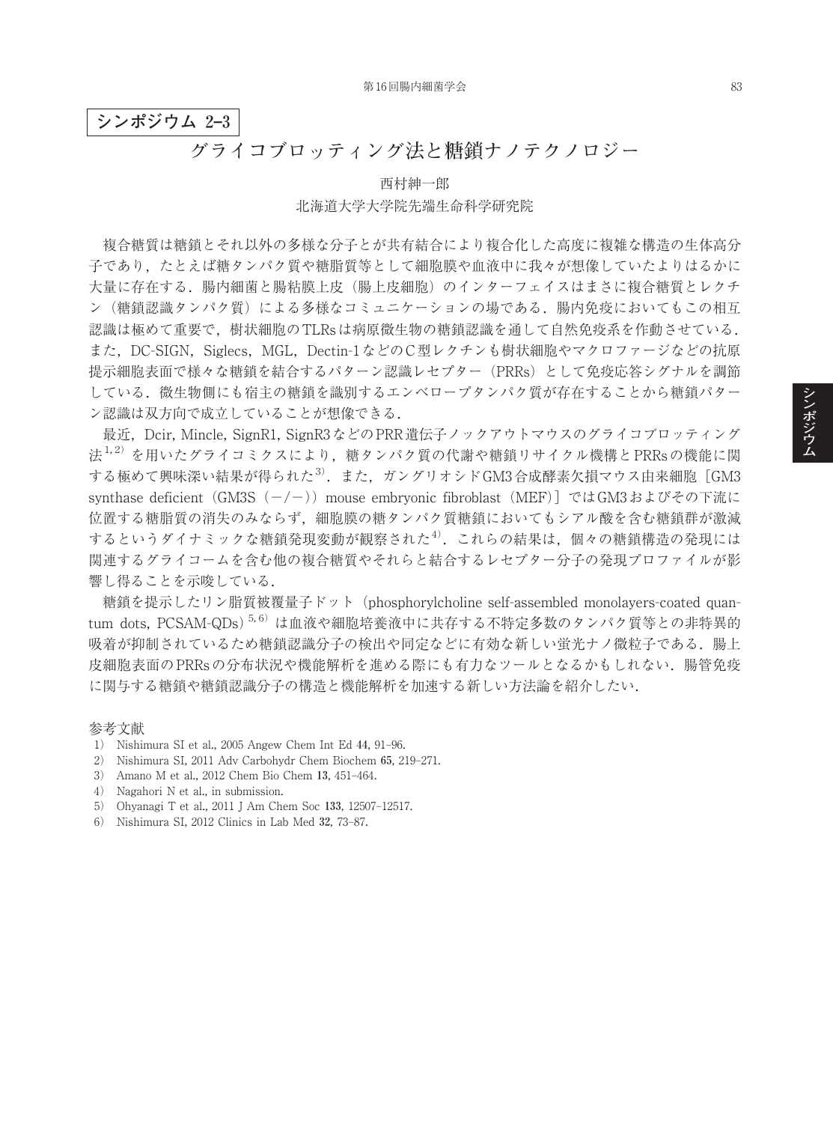## **シンポジウム 2–3**

# **グライコブロッティング法と糖鎖ナノテクノロジー**

# 西村紳一郎 北海道大学大学院先端生命科学研究院

複合糖質は糖鎖とそれ以外の多様な分子とが共有結合により複合化した高度に複雑な構造の生体高分 子であり,たとえば糖タンパク質や糖脂質等として細胞膜や血液中に我々が想像していたよりはるかに 大量に存在する.腸内細菌と腸粘膜上皮(腸上皮細胞)のインターフェイスはまさに複合糖質とレクチ ン(糖鎖認識タンパク質)による多様なコミュニケーションの場である.腸内免疫においてもこの相互 認識は極めて重要で,樹状細胞のTLRsは病原微生物の糖鎖認識を通して自然免疫系を作動させている. また,DC-SIGN, Siglecs, MGL, Dectin-1などのC型レクチンも樹状細胞やマクロファージなどの抗原 提示細胞表面で様々な糖鎖を結合するパターン認識レセプター(PRRs)として免疫応答シグナルを調節 している.微生物側にも宿主の糖鎖を識別するエンベロープタンパク質が存在することから糖鎖パター ン認識は双方向で成立していることが想像できる.

最近, Dcir, Mincle, SignR1, SignR3などのPRR遺伝子ノックアウトマウスのグライコブロッティング 法<sup>1,2)</sup>を用いたグライコミクスにより,糖タンパク質の代謝や糖鎖リサイクル機構とPRRsの機能に関 する極めて興味深い結果が得られた $^{3)}$ . また, ガングリオシド $\rm GM3$ 合成酵素欠損マウス由来細胞 [ $\rm GM3$ synthase deficient (GM3S (-/-)) mouse embryonic fibroblast (MEF)] ではGM3およびその下流に 位置する糖脂質の消失のみならず,細胞膜の糖タンパク質糖鎖においてもシアル酸を含む糖鎖群が激減 するというダイナミックな糖鎖発現変動が観察された<sup>4)</sup>. これらの結果は, 個々の糖鎖構造の発現には 関連するグライコームを含む他の複合糖質やそれらと結合するレセプター分子の発現プロファイルが影 響し得ることを示唆している.

糖鎖を提示したリン脂質被覆量子ドット(phosphorylcholine self-assembled monolayers-coated quantum dots, PCSAM-QDs)<sup>5,6)</sup>は血液や細胞培養液中に共存する不特定多数のタンパク質等との非特異的 吸着が抑制されているため糖鎖認識分子の検出や同定などに有効な新しい蛍光ナノ微粒子である.腸上 皮細胞表面のPRRsの分布状況や機能解析を進める際にも有力なツールとなるかもしれない.腸管免疫 に関与する糖鎖や糖鎖認識分子の構造と機能解析を加速する新しい方法論を紹介したい.

### 参考文献

- 1) Nishimura SI et al., 2005 Angew Chem Int Ed **44**, 91–96.
- 2) Nishimura SI, 2011 Adv Carbohydr Chem Biochem **65**, 219–271.
- 3) Amano M et al., 2012 Chem Bio Chem **13**, 451–464.
- 4) Nagahori N et al., in submission.
- 5) Ohyanagi T et al., 2011 J Am Chem Soc **133**, 12507–12517.
- 6) Nishimura SI, 2012 Clinics in Lab Med **32**, 73–87.